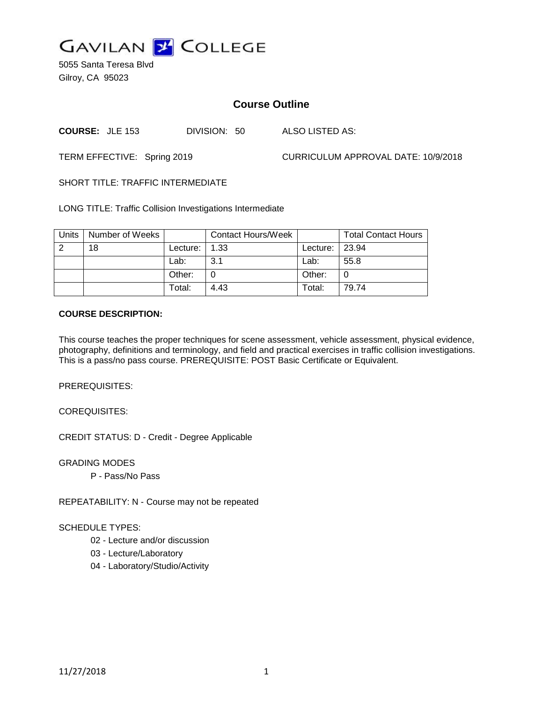

5055 Santa Teresa Blvd Gilroy, CA 95023

# **Course Outline**

**COURSE:** JLE 153 DIVISION: 50 ALSO LISTED AS:

TERM EFFECTIVE: Spring 2019 CURRICULUM APPROVAL DATE: 10/9/2018

SHORT TITLE: TRAFFIC INTERMEDIATE

LONG TITLE: Traffic Collision Investigations Intermediate

| Units | Number of Weeks |          | <b>Contact Hours/Week</b> |            | <b>Total Contact Hours</b> |
|-------|-----------------|----------|---------------------------|------------|----------------------------|
| 2     | 18              | Lecture: | 1.33                      | Lecture: I | 23.94                      |
|       |                 | Lab:     | 3.1                       | Lab:       | 55.8                       |
|       |                 | Other:   |                           | Other:     |                            |
|       |                 | Total:   | 4.43                      | Total:     | 79.74                      |

#### **COURSE DESCRIPTION:**

This course teaches the proper techniques for scene assessment, vehicle assessment, physical evidence, photography, definitions and terminology, and field and practical exercises in traffic collision investigations. This is a pass/no pass course. PREREQUISITE: POST Basic Certificate or Equivalent.

PREREQUISITES:

COREQUISITES:

CREDIT STATUS: D - Credit - Degree Applicable

GRADING MODES

P - Pass/No Pass

REPEATABILITY: N - Course may not be repeated

### SCHEDULE TYPES:

- 02 Lecture and/or discussion
- 03 Lecture/Laboratory
- 04 Laboratory/Studio/Activity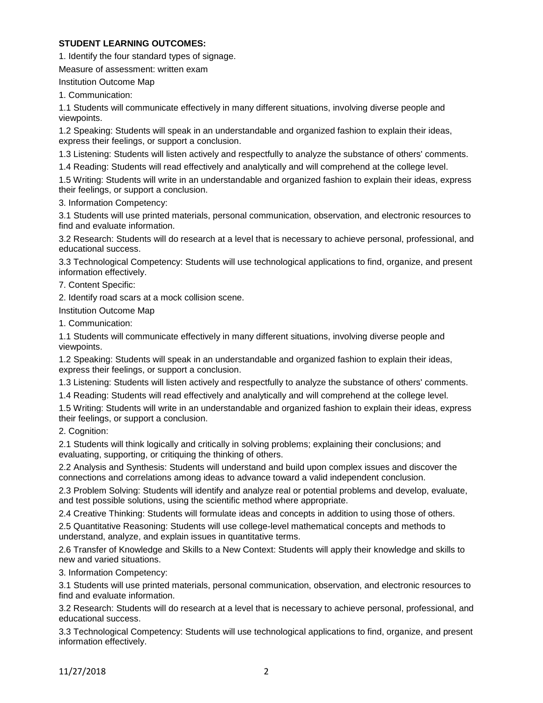### **STUDENT LEARNING OUTCOMES:**

1. Identify the four standard types of signage.

Measure of assessment: written exam

Institution Outcome Map

1. Communication:

1.1 Students will communicate effectively in many different situations, involving diverse people and viewpoints.

1.2 Speaking: Students will speak in an understandable and organized fashion to explain their ideas, express their feelings, or support a conclusion.

1.3 Listening: Students will listen actively and respectfully to analyze the substance of others' comments.

1.4 Reading: Students will read effectively and analytically and will comprehend at the college level.

1.5 Writing: Students will write in an understandable and organized fashion to explain their ideas, express their feelings, or support a conclusion.

3. Information Competency:

3.1 Students will use printed materials, personal communication, observation, and electronic resources to find and evaluate information.

3.2 Research: Students will do research at a level that is necessary to achieve personal, professional, and educational success.

3.3 Technological Competency: Students will use technological applications to find, organize, and present information effectively.

7. Content Specific:

2. Identify road scars at a mock collision scene.

Institution Outcome Map

1. Communication:

1.1 Students will communicate effectively in many different situations, involving diverse people and viewpoints.

1.2 Speaking: Students will speak in an understandable and organized fashion to explain their ideas, express their feelings, or support a conclusion.

1.3 Listening: Students will listen actively and respectfully to analyze the substance of others' comments.

1.4 Reading: Students will read effectively and analytically and will comprehend at the college level.

1.5 Writing: Students will write in an understandable and organized fashion to explain their ideas, express their feelings, or support a conclusion.

2. Cognition:

2.1 Students will think logically and critically in solving problems; explaining their conclusions; and evaluating, supporting, or critiquing the thinking of others.

2.2 Analysis and Synthesis: Students will understand and build upon complex issues and discover the connections and correlations among ideas to advance toward a valid independent conclusion.

2.3 Problem Solving: Students will identify and analyze real or potential problems and develop, evaluate, and test possible solutions, using the scientific method where appropriate.

2.4 Creative Thinking: Students will formulate ideas and concepts in addition to using those of others.

2.5 Quantitative Reasoning: Students will use college-level mathematical concepts and methods to understand, analyze, and explain issues in quantitative terms.

2.6 Transfer of Knowledge and Skills to a New Context: Students will apply their knowledge and skills to new and varied situations.

3. Information Competency:

3.1 Students will use printed materials, personal communication, observation, and electronic resources to find and evaluate information.

3.2 Research: Students will do research at a level that is necessary to achieve personal, professional, and educational success.

3.3 Technological Competency: Students will use technological applications to find, organize, and present information effectively.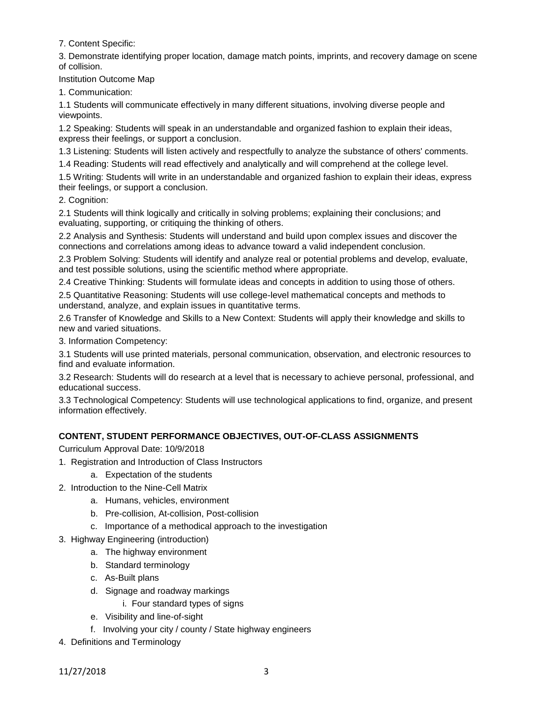7. Content Specific:

3. Demonstrate identifying proper location, damage match points, imprints, and recovery damage on scene of collision.

Institution Outcome Map

1. Communication:

1.1 Students will communicate effectively in many different situations, involving diverse people and viewpoints.

1.2 Speaking: Students will speak in an understandable and organized fashion to explain their ideas, express their feelings, or support a conclusion.

1.3 Listening: Students will listen actively and respectfully to analyze the substance of others' comments.

1.4 Reading: Students will read effectively and analytically and will comprehend at the college level.

1.5 Writing: Students will write in an understandable and organized fashion to explain their ideas, express their feelings, or support a conclusion.

2. Cognition:

2.1 Students will think logically and critically in solving problems; explaining their conclusions; and evaluating, supporting, or critiquing the thinking of others.

2.2 Analysis and Synthesis: Students will understand and build upon complex issues and discover the connections and correlations among ideas to advance toward a valid independent conclusion.

2.3 Problem Solving: Students will identify and analyze real or potential problems and develop, evaluate, and test possible solutions, using the scientific method where appropriate.

2.4 Creative Thinking: Students will formulate ideas and concepts in addition to using those of others.

2.5 Quantitative Reasoning: Students will use college-level mathematical concepts and methods to understand, analyze, and explain issues in quantitative terms.

2.6 Transfer of Knowledge and Skills to a New Context: Students will apply their knowledge and skills to new and varied situations.

3. Information Competency:

3.1 Students will use printed materials, personal communication, observation, and electronic resources to find and evaluate information.

3.2 Research: Students will do research at a level that is necessary to achieve personal, professional, and educational success.

3.3 Technological Competency: Students will use technological applications to find, organize, and present information effectively.

## **CONTENT, STUDENT PERFORMANCE OBJECTIVES, OUT-OF-CLASS ASSIGNMENTS**

Curriculum Approval Date: 10/9/2018

- 1. Registration and Introduction of Class Instructors
	- a. Expectation of the students
- 2. Introduction to the Nine-Cell Matrix
	- a. Humans, vehicles, environment
	- b. Pre-collision, At-collision, Post-collision
	- c. Importance of a methodical approach to the investigation
- 3. Highway Engineering (introduction)
	- a. The highway environment
		- b. Standard terminology
		- c. As-Built plans
		- d. Signage and roadway markings
			- i. Four standard types of signs
		- e. Visibility and line-of-sight
		- f. Involving your city / county / State highway engineers
- 4. Definitions and Terminology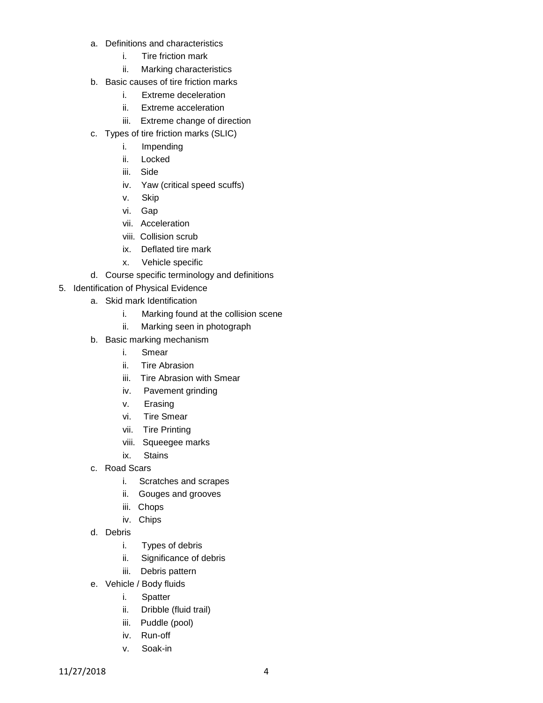- a. Definitions and characteristics
	- i. Tire friction mark
	- ii. Marking characteristics
- b. Basic causes of tire friction marks
	- i. Extreme deceleration
	- ii. Extreme acceleration
	- iii. Extreme change of direction
- c. Types of tire friction marks (SLIC)
	- i. Impending
	- ii. Locked
	- iii. Side
	- iv. Yaw (critical speed scuffs)
	- v. Skip
	- vi. Gap
	- vii. Acceleration
	- viii. Collision scrub
	- ix. Deflated tire mark
	- x. Vehicle specific
- d. Course specific terminology and definitions
- 5. Identification of Physical Evidence
	- a. Skid mark Identification
		- i. Marking found at the collision scene
		- ii. Marking seen in photograph
	- b. Basic marking mechanism
		- i. Smear
		- ii. Tire Abrasion
		- iii. Tire Abrasion with Smear
		- iv. Pavement grinding
		- v. Erasing
		- vi. Tire Smear
		- vii. Tire Printing
		- viii. Squeegee marks
		- ix. Stains
	- c. Road Scars
		- i. Scratches and scrapes
		- ii. Gouges and grooves
		- iii. Chops
		- iv. Chips
	- d. Debris
		- i. Types of debris
		- ii. Significance of debris
		- iii. Debris pattern
	- e. Vehicle / Body fluids
		- i. Spatter
		- ii. Dribble (fluid trail)
		- iii. Puddle (pool)
		- iv. Run-off
		- v. Soak-in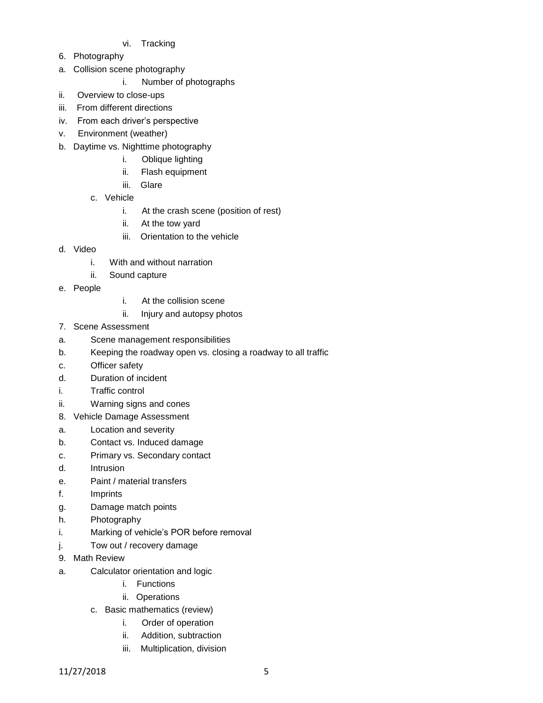- vi. Tracking
- 6. Photography
- a. Collision scene photography
	- i. Number of photographs
- ii. Overview to close-ups
- iii. From different directions
- iv. From each driver's perspective
- v. Environment (weather)
- b. Daytime vs. Nighttime photography
	- i. Oblique lighting
	- ii. Flash equipment
	- iii. Glare
	- c. Vehicle
		- i. At the crash scene (position of rest)
		- ii. At the tow yard
		- iii. Orientation to the vehicle
- d. Video
	- i. With and without narration
	- ii. Sound capture
- e. People
- i. At the collision scene
- ii. Injury and autopsy photos
- 7. Scene Assessment
- a. Scene management responsibilities
- b. Keeping the roadway open vs. closing a roadway to all traffic
- c. Officer safety
- d. Duration of incident
- i. Traffic control
- ii. Warning signs and cones
- 8. Vehicle Damage Assessment
- a. Location and severity
- b. Contact vs. Induced damage
- c. Primary vs. Secondary contact
- d. Intrusion
- e. Paint / material transfers
- f. Imprints
- g. Damage match points
- h. Photography
- i. Marking of vehicle's POR before removal
- j. Tow out / recovery damage
- 9. Math Review
- a. Calculator orientation and logic
	- i. Functions
	- ii. Operations
	- c. Basic mathematics (review)
		- i. Order of operation
		- ii. Addition, subtraction
		- iii. Multiplication, division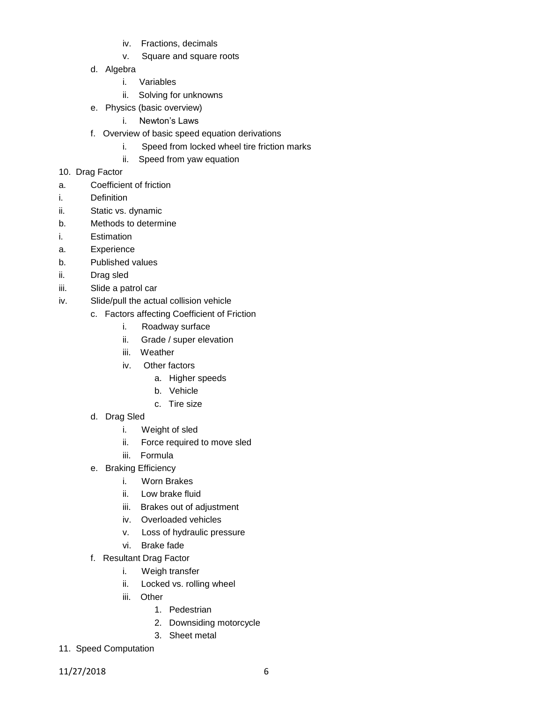- iv. Fractions, decimals
- v. Square and square roots
- d. Algebra
	- i. Variables
	- ii. Solving for unknowns
- e. Physics (basic overview)
	- i. Newton's Laws
- f. Overview of basic speed equation derivations
	- i. Speed from locked wheel tire friction marks
	- ii. Speed from yaw equation
- 10. Drag Factor
- a. Coefficient of friction
- i. Definition
- ii. Static vs. dynamic
- b. Methods to determine
- i. Estimation
- a. Experience
- b. Published values
- ii. Drag sled
- iii. Slide a patrol car
- iv. Slide/pull the actual collision vehicle
	- c. Factors affecting Coefficient of Friction
		- i. Roadway surface
		- ii. Grade / super elevation
		- iii. Weather
		- iv. Other factors
			- a. Higher speeds
			- b. Vehicle
			- c. Tire size
	- d. Drag Sled
		- i. Weight of sled
		- ii. Force required to move sled
		- iii. Formula
	- e. Braking Efficiency
		- i. Worn Brakes
		- ii. Low brake fluid
		- iii. Brakes out of adjustment
		- iv. Overloaded vehicles
		- v. Loss of hydraulic pressure
		- vi. Brake fade
	- f. Resultant Drag Factor
		- i. Weigh transfer
		- ii. Locked vs. rolling wheel
		- iii. Other
			- 1. Pedestrian
			- 2. Downsiding motorcycle
			- 3. Sheet metal
- 11. Speed Computation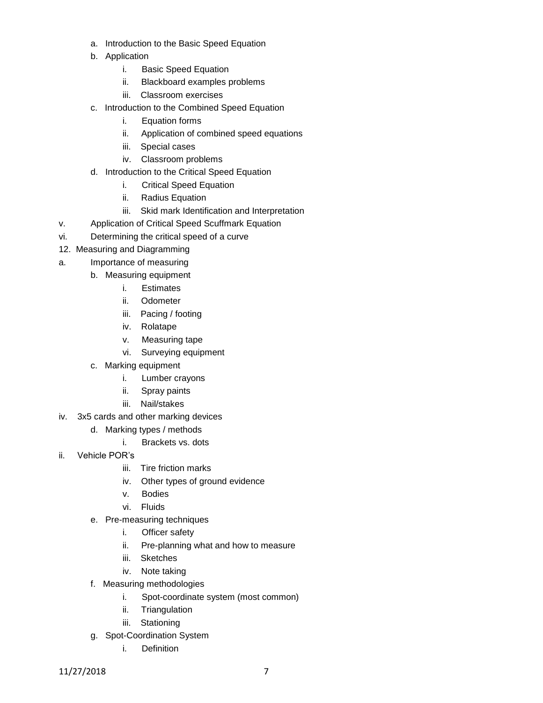- a. Introduction to the Basic Speed Equation
- b. Application
	- i. Basic Speed Equation
	- ii. Blackboard examples problems
	- iii. Classroom exercises
- c. Introduction to the Combined Speed Equation
	- i. Equation forms
	- ii. Application of combined speed equations
	- iii. Special cases
	- iv. Classroom problems
- d. Introduction to the Critical Speed Equation
	- i. Critical Speed Equation
	- ii. Radius Equation
	- iii. Skid mark Identification and Interpretation
- v. Application of Critical Speed Scuffmark Equation
- vi. Determining the critical speed of a curve
- 12. Measuring and Diagramming
- a. Importance of measuring
	- b. Measuring equipment
		- i. Estimates
		- ii. Odometer
		- iii. Pacing / footing
		- iv. Rolatape
		- v. Measuring tape
		- vi. Surveying equipment
		- c. Marking equipment
			- i. Lumber crayons
			- ii. Spray paints
			- iii. Nail/stakes
- iv. 3x5 cards and other marking devices
	- d. Marking types / methods
		- i. Brackets vs. dots
- ii. Vehicle POR's
	- iii. Tire friction marks
	- iv. Other types of ground evidence
	- v. Bodies
	- vi. Fluids
	- e. Pre-measuring techniques
		- i. Officer safety
		- ii. Pre-planning what and how to measure
		- iii. Sketches
		- iv. Note taking
	- f. Measuring methodologies
		- i. Spot-coordinate system (most common)
		- ii. Triangulation
		- iii. Stationing
	- g. Spot-Coordination System
		- i. Definition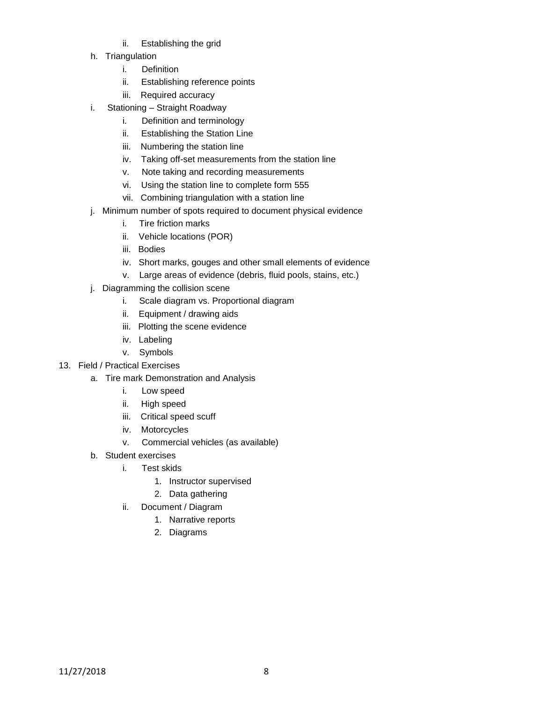- ii. Establishing the grid
- h. Triangulation
	- i. Definition
	- ii. Establishing reference points
	- iii. Required accuracy
- i. Stationing Straight Roadway
	- i. Definition and terminology
	- ii. Establishing the Station Line
	- iii. Numbering the station line
	- iv. Taking off-set measurements from the station line
	- v. Note taking and recording measurements
	- vi. Using the station line to complete form 555
	- vii. Combining triangulation with a station line
- j. Minimum number of spots required to document physical evidence
	- i. Tire friction marks
	- ii. Vehicle locations (POR)
	- iii. Bodies
	- iv. Short marks, gouges and other small elements of evidence
	- v. Large areas of evidence (debris, fluid pools, stains, etc.)
- j. Diagramming the collision scene
	- i. Scale diagram vs. Proportional diagram
	- ii. Equipment / drawing aids
	- iii. Plotting the scene evidence
	- iv. Labeling
	- v. Symbols
- 13. Field / Practical Exercises
	- a. Tire mark Demonstration and Analysis
		- i. Low speed
		- ii. High speed
		- iii. Critical speed scuff
		- iv. Motorcycles
		- v. Commercial vehicles (as available)
	- b. Student exercises
		- i. Test skids
			- 1. Instructor supervised
			- 2. Data gathering
		- ii. Document / Diagram
			- 1. Narrative reports
			- 2. Diagrams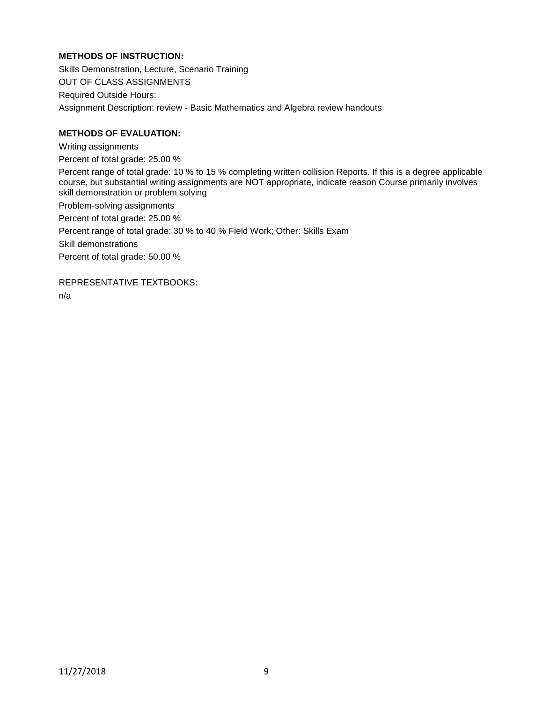### **METHODS OF INSTRUCTION:**

Skills Demonstration, Lecture, Scenario Training OUT OF CLASS ASSIGNMENTS Required Outside Hours: Assignment Description: review - Basic Mathematics and Algebra review handouts

### **METHODS OF EVALUATION:**

Writing assignments Percent of total grade: 25.00 % Percent range of total grade: 10 % to 15 % completing written collision Reports. If this is a degree applicable course, but substantial writing assignments are NOT appropriate, indicate reason Course primarily involves skill demonstration or problem solving Problem-solving assignments Percent of total grade: 25.00 % Percent range of total grade: 30 % to 40 % Field Work; Other: Skills Exam Skill demonstrations Percent of total grade: 50.00 %

REPRESENTATIVE TEXTBOOKS: n/a